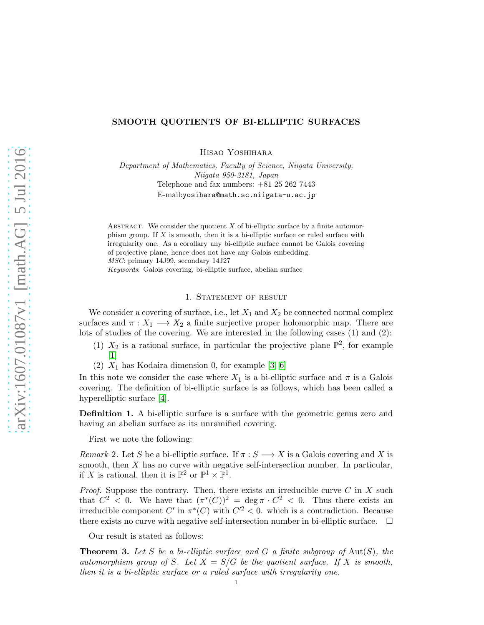# SMOOTH QUOTIENTS OF BI-ELLIPTIC SURFACES

Hisao Yoshihara

Department of Mathematics, Faculty of Science, Niigata University, Niigata 950-2181, Japan Telephone and fax numbers: +81 25 262 7443 E-mail:yosihara@math.sc.niigata-u.ac.jp

ABSTRACT. We consider the quotient  $X$  of bi-elliptic surface by a finite automorphism group. If  $X$  is smooth, then it is a bi-elliptic surface or ruled surface with irregularity one. As a corollary any bi-elliptic surface cannot be Galois covering of projective plane, hence does not have any Galois embedding. MSC: primary 14J99, secondary 14J27 Keywords: Galois covering, bi-elliptic surface, abelian surface

## 1. STATEMENT OF RESULT

We consider a covering of surface, i.e., let  $X_1$  and  $X_2$  be connected normal complex surfaces and  $\pi : X_1 \longrightarrow X_2$  a finite surjective proper holomorphic map. There are lots of studies of the covering. We are interested in the following cases (1) and (2):

- (1)  $X_2$  is a rational surface, in particular the projective plane  $\mathbb{P}^2$ , for example [\[1\]](#page-3-0)
- (2)  $X_1$  has Kodaira dimension 0, for example [\[3,](#page-3-1) [6\]](#page-3-2)

In this note we consider the case where  $X_1$  is a bi-elliptic surface and  $\pi$  is a Galois covering. The definition of bi-elliptic surface is as follows, which has been called a hyperelliptic surface [\[4\]](#page-3-3).

Definition 1. A bi-elliptic surface is a surface with the geometric genus zero and having an abelian surface as its unramified covering.

First we note the following:

<span id="page-0-1"></span>Remark 2. Let S be a bi-elliptic surface. If  $\pi : S \longrightarrow X$  is a Galois covering and X is smooth, then X has no curve with negative self-intersection number. In particular, if X is rational, then it is  $\mathbb{P}^2$  or  $\mathbb{P}^1 \times \mathbb{P}^1$ .

*Proof.* Suppose the contrary. Then, there exists an irreducible curve  $C$  in  $X$  such that  $C^2 < 0$ . We have that  $(\pi^*(C))^2 = \deg \pi \cdot C^2 < 0$ . Thus there exists an irreducible component C' in  $\pi^*(C)$  with  $C^2 < 0$ . which is a contradiction. Because there exists no curve with negative self-intersection number in bi-elliptic surface.  $\Box$ 

Our result is stated as follows:

<span id="page-0-0"></span>**Theorem 3.** Let S be a bi-elliptic surface and G a finite subgroup of  $Aut(S)$ , the automorphism group of S. Let  $X = S/G$  be the quotient surface. If X is smooth, then it is a bi-elliptic surface or a ruled surface with irregularity one.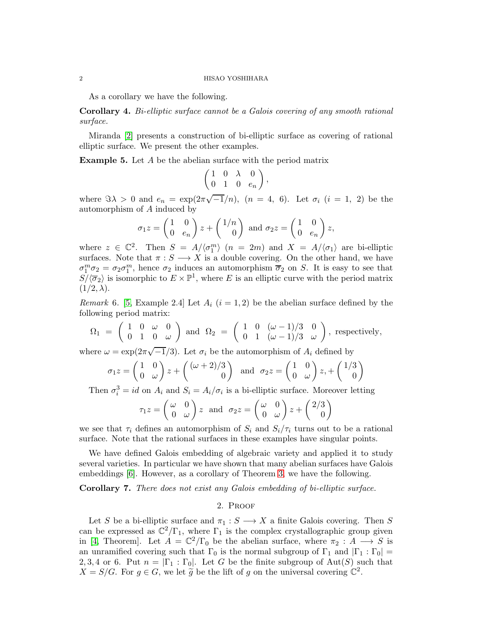#### 2 HISAO YOSHIHARA

As a corollary we have the following.

Corollary 4. Bi-elliptic surface cannot be a Galois covering of any smooth rational surface.

Miranda [\[2\]](#page-3-4) presents a construction of bi-elliptic surface as covering of rational elliptic surface. We present the other examples.

Example 5. Let A be the abelian surface with the period matrix

$$
\begin{pmatrix} 1 & 0 & \lambda & 0 \\ 0 & 1 & 0 & e_n \end{pmatrix},
$$

where  $\Im \lambda > 0$  and  $e_n = \exp(2\pi \sqrt{-1}/n)$ ,  $(n = 4, 6)$ . Let  $\sigma_i$   $(i = 1, 2)$  be the automorphism of A induced by

$$
\sigma_1 z = \begin{pmatrix} 1 & 0 \\ 0 & e_n \end{pmatrix} z + \begin{pmatrix} 1/n \\ 0 \end{pmatrix} \text{ and } \sigma_2 z = \begin{pmatrix} 1 & 0 \\ 0 & e_n \end{pmatrix} z,
$$

where  $z \in \mathbb{C}^2$ . Then  $S = A/\langle \sigma_1^m \rangle$   $(n = 2m)$  and  $X = A/\langle \sigma_1 \rangle$  are bi-elliptic surfaces. Note that  $\pi : S \longrightarrow X$  is a double covering. On the other hand, we have  $\sigma_1^m \sigma_2 = \sigma_2 \sigma_1^m$ , hence  $\sigma_2$  induces an automorphism  $\overline{\sigma}_2$  on S. It is easy to see that  $S/\langle \overline{\sigma}_2 \rangle$  is isomorphic to  $E \times \mathbb{P}^1$ , where E is an elliptic curve with the period matrix  $(1/2, \lambda).$ 

Remark 6. [\[5,](#page-3-5) Example 2.4] Let  $A_i$   $(i = 1, 2)$  be the abelian surface defined by the following period matrix:

$$
\Omega_1\;=\;\left(\begin{array}{ccc} 1 & 0 & \omega & 0 \\ 0 & 1 & 0 & \omega \end{array}\right)\text{ and }\ \Omega_2\;=\;\left(\begin{array}{ccc} 1 & 0 & (\omega-1)/3 & 0 \\ 0 & 1 & (\omega-1)/3 & \omega \end{array}\right),\text{ respectively,}
$$

where  $\omega = \exp(2\pi\sqrt{-1}/3)$ . Let  $\sigma_i$  be the automorphism of  $A_i$  defined by

$$
\sigma_1 z = \begin{pmatrix} 1 & 0 \\ 0 & \omega \end{pmatrix} z + \begin{pmatrix} (\omega + 2)/3 \\ 0 \end{pmatrix} \text{ and } \sigma_2 z = \begin{pmatrix} 1 & 0 \\ 0 & \omega \end{pmatrix} z + \begin{pmatrix} 1/3 \\ 0 \end{pmatrix}
$$

Then  $\sigma_i^3 = id$  on  $A_i$  and  $S_i = A_i / \sigma_i$  is a bi-elliptic surface. Moreover letting

$$
\tau_1 z = \begin{pmatrix} \omega & 0 \\ 0 & \omega \end{pmatrix} z \text{ and } \sigma_2 z = \begin{pmatrix} \omega & 0 \\ 0 & \omega \end{pmatrix} z + \begin{pmatrix} 2/3 \\ 0 \end{pmatrix}
$$

we see that  $\tau_i$  defines an automorphism of  $S_i$  and  $S_i/\tau_i$  turns out to be a rational surface. Note that the rational surfaces in these examples have singular points.

We have defined Galois embedding of algebraic variety and applied it to study several varieties. In particular we have shown that many abelian surfaces have Galois embeddings [\[6\]](#page-3-2). However, as a corollary of Theorem [3,](#page-0-0) we have the following.

Corollary 7. There does not exist any Galois embedding of bi-elliptic surface.

## 2. Proof

Let S be a bi-elliptic surface and  $\pi_1 : S \longrightarrow X$  a finite Galois covering. Then S can be expressed as  $\mathbb{C}^2/\Gamma_1$ , where  $\Gamma_1$  is the complex crystallographic group given in [\[4,](#page-3-3) Theorem]. Let  $A = \mathbb{C}^2/\Gamma_0$  be the abelian surface, where  $\pi_2 : A \longrightarrow S$  is an unramified covering such that  $\Gamma_0$  is the normal subgroup of  $\Gamma_1$  and  $|\Gamma_1 : \Gamma_0|$  = 2, 3, 4 or 6. Put  $n = |\Gamma_1 : \Gamma_0|$ . Let G be the finite subgroup of Aut(S) such that  $X = S/G$ . For  $g \in G$ , we let  $\widetilde{g}$  be the lift of g on the universal covering  $\mathbb{C}^2$ .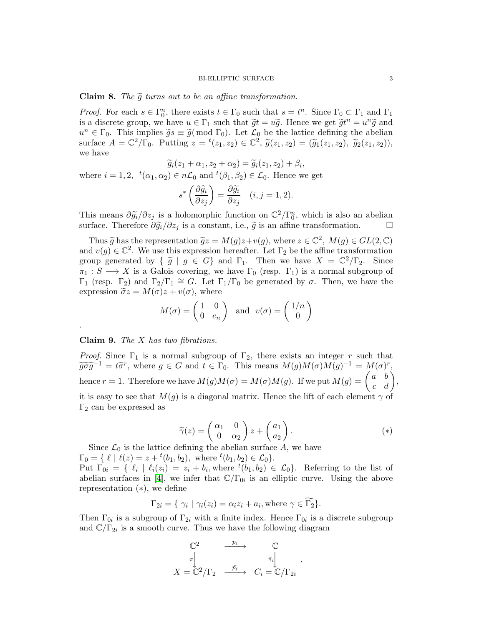Claim 8. The  $\tilde{g}$  turns out to be an affine transformation.

*Proof.* For each  $s \in \Gamma_0^n$ , there exists  $t \in \Gamma_0$  such that  $s = t^n$ . Since  $\Gamma_0 \subset \Gamma_1$  and  $\Gamma_1$ is a discrete group, we have  $u \in \Gamma_1$  such that  $\widetilde{g}t = u\widetilde{g}$ . Hence we get  $\widetilde{g}t^n = u^n\widetilde{g}$  and  $u^n \in \Gamma_0$ . This implies  $\widetilde{g}_s \equiv \widetilde{g}(\bmod \Gamma_0)$ . Let  $\mathcal{L}_0$  be the lattice defining the abelian surface  $A = \mathbb{C}^2/\Gamma_0$ . Putting  $z = {}^t(z_1, z_2) \in \mathbb{C}^2$ ,  $\widetilde{g}(z_1, z_2) = (\widetilde{g}_1(z_1, z_2), \widetilde{g}_2(z_1, z_2)),$ we have

$$
\widetilde{g}_i(z_1+\alpha_1,z_2+\alpha_2)=\widetilde{g}_i(z_1,z_2)+\beta_i,
$$

where  $i = 1, 2, t'(\alpha_1, \alpha_2) \in n\mathcal{L}_0$  and  $t'(\beta_1, \beta_2) \in \mathcal{L}_0$ . Hence we get

$$
s^* \left( \frac{\partial \widetilde{g_i}}{\partial z_j} \right) = \frac{\partial \widetilde{g_i}}{\partial z_j} \quad (i, j = 1, 2).
$$

This means  $\partial \widetilde{g}_i/\partial z_j$  is a holomorphic function on  $\mathbb{C}^2/\Gamma_0^n$ , which is also an abelian surface. Therefore  $\partial \tilde{g}_i/\partial z_j$  is a constant, i.e.,  $\tilde{g}$  is an affine transformation.  $\Box$ 

Thus  $\widetilde{g}$  has the representation  $\widetilde{g}z = M(g)z + v(g)$ , where  $z \in \mathbb{C}^2$ ,  $M(g) \in GL(2, \mathbb{C})$ and  $v(g) \in \mathbb{C}^2$ . We use this expression hereafter. Let  $\Gamma_2$  be the affine transformation group generated by  $\{\tilde{g} \mid g \in G\}$  and  $\Gamma_1$ . Then we have  $X = \mathbb{C}^2/\Gamma_2$ . Since  $\pi_1 : S \longrightarrow X$  is a Galois covering, we have  $\Gamma_0$  (resp.  $\Gamma_1$ ) is a normal subgroup of  $\Gamma_1$  (resp.  $\Gamma_2$ ) and  $\Gamma_2/\Gamma_1 \cong G$ . Let  $\Gamma_1/\Gamma_0$  be generated by  $\sigma$ . Then, we have the expression  $\tilde{\sigma}z = M(\sigma)z + v(\sigma)$ , where

$$
M(\sigma) = \begin{pmatrix} 1 & 0 \\ 0 & e_n \end{pmatrix}
$$
 and  $v(\sigma) = \begin{pmatrix} 1/n \\ 0 \end{pmatrix}$ 

Claim 9. The X has two fibrations.

.

*Proof.* Since  $\Gamma_1$  is a normal subgroup of  $\Gamma_2$ , there exists an integer r such that  $\widetilde{g}\widetilde{\sigma}\widetilde{g}^{-1}=t\widetilde{\sigma}^r$ , where  $g\in G$  and  $t\in\Gamma_0$ . This means  $M(g)M(\sigma)M(g)^{-1}=M(\sigma)^r$ , hence  $r = 1$ . Therefore we have  $M(g)M(\sigma) = M(\sigma)M(g)$ . If we put  $M(g) = \begin{pmatrix} a & b \\ c & d \end{pmatrix}$ , it is easy to see that  $M(g)$  is a diagonal matrix. Hence the lift of each element  $\gamma$  of  $\Gamma_2$  can be expressed as

$$
\widetilde{\gamma}(z) = \begin{pmatrix} \alpha_1 & 0 \\ 0 & \alpha_2 \end{pmatrix} z + \begin{pmatrix} a_1 \\ a_2 \end{pmatrix} . \tag{*}
$$

Since  $\mathcal{L}_0$  is the lattice defining the abelian surface A, we have  $\Gamma_0 = \{ \ell \mid \ell(z) = z + {}^t(b_1, b_2), \text{ where } {}^t(b_1, b_2) \in \mathcal{L}_0 \}.$ 

Put  $\Gamma_{0i} = \{ \ell_i \mid \ell_i(z_i) = z_i + b_i, \text{where } \{ (b_1, b_2) \in \mathcal{L}_0 \}.$  Referring to the list of abelian surfaces in [\[4\]](#page-3-3), we infer that  $\mathbb{C}/\Gamma_{0i}$  is an elliptic curve. Using the above representation (∗), we define

$$
\Gamma_{2i} = \{ \gamma_i \mid \gamma_i(z_i) = \alpha_i z_i + a_i, \text{where } \gamma \in \Gamma_2 \}.
$$

Then  $\Gamma_{0i}$  is a subgroup of  $\Gamma_{2i}$  with a finite index. Hence  $\Gamma_{0i}$  is a discrete subgroup and  $\mathbb{C}/\Gamma_{2i}$  is a smooth curve. Thus we have the following diagram

$$
\begin{array}{ccc}\n\mathbb{C}^2 & \xrightarrow{p_i} & \mathbb{C} \\
\pi & & \\
X = \mathbb{C}^2/\Gamma_2 & \xrightarrow{\bar{p_i}} & C_i = \mathbb{C}/\Gamma_{2i}\n\end{array},
$$